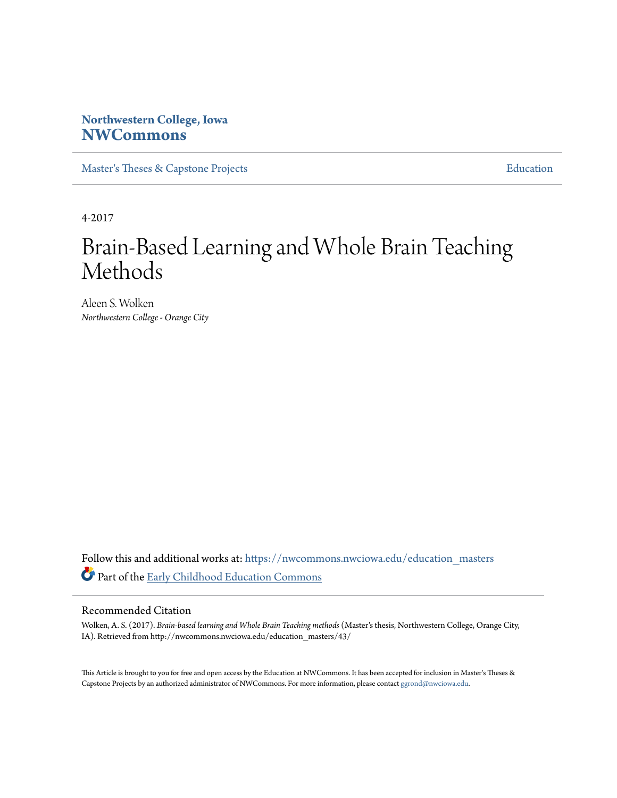# **Northwestern College, Iowa [NWCommons](https://nwcommons.nwciowa.edu?utm_source=nwcommons.nwciowa.edu%2Feducation_masters%2F43&utm_medium=PDF&utm_campaign=PDFCoverPages)**

[Master's Theses & Capstone Projects](https://nwcommons.nwciowa.edu/education_masters?utm_source=nwcommons.nwciowa.edu%2Feducation_masters%2F43&utm_medium=PDF&utm_campaign=PDFCoverPages) **[Education](https://nwcommons.nwciowa.edu/education?utm_source=nwcommons.nwciowa.edu%2Feducation_masters%2F43&utm_medium=PDF&utm_campaign=PDFCoverPages)** 

4-2017

# Brain-Based Learning and Whole Brain Teaching Methods

Aleen S. Wolken *Northwestern College - Orange City*

Follow this and additional works at: [https://nwcommons.nwciowa.edu/education\\_masters](https://nwcommons.nwciowa.edu/education_masters?utm_source=nwcommons.nwciowa.edu%2Feducation_masters%2F43&utm_medium=PDF&utm_campaign=PDFCoverPages) Part of the [Early Childhood Education Commons](http://network.bepress.com/hgg/discipline/1377?utm_source=nwcommons.nwciowa.edu%2Feducation_masters%2F43&utm_medium=PDF&utm_campaign=PDFCoverPages)

#### Recommended Citation

Wolken, A. S. (2017). *Brain-based learning and Whole Brain Teaching methods* (Master's thesis, Northwestern College, Orange City, IA). Retrieved from http://nwcommons.nwciowa.edu/education\_masters/43/

This Article is brought to you for free and open access by the Education at NWCommons. It has been accepted for inclusion in Master's Theses & Capstone Projects by an authorized administrator of NWCommons. For more information, please contact [ggrond@nwciowa.edu.](mailto:ggrond@nwciowa.edu)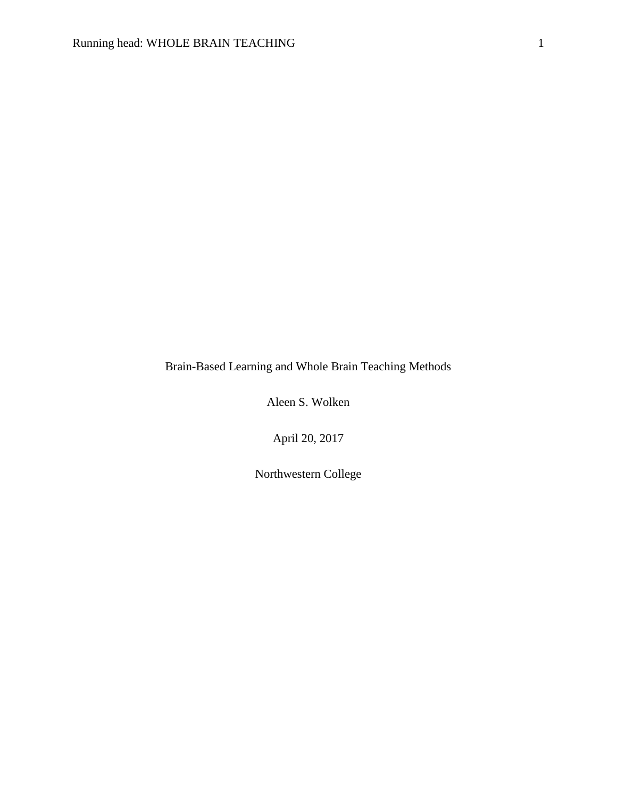Brain-Based Learning and Whole Brain Teaching Methods

Aleen S. Wolken

April 20, 2017

Northwestern College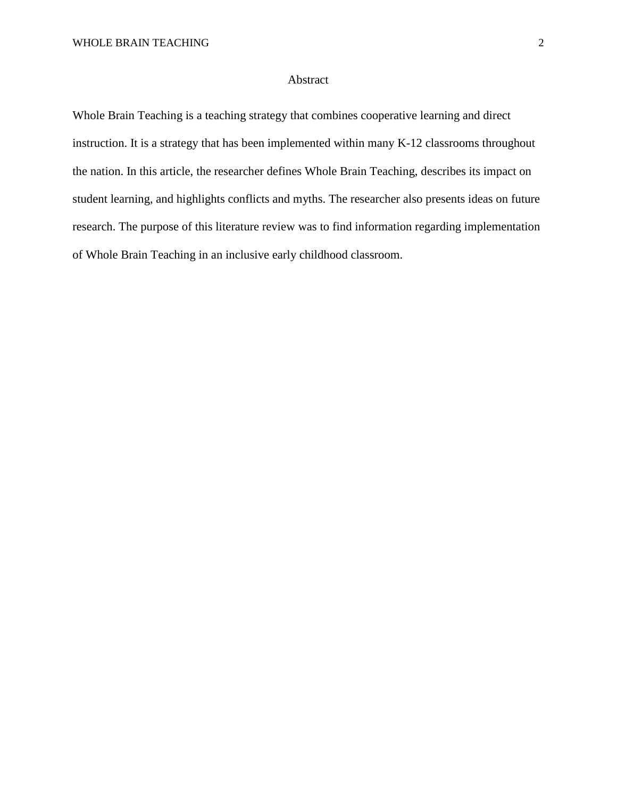## Abstract

Whole Brain Teaching is a teaching strategy that combines cooperative learning and direct instruction. It is a strategy that has been implemented within many K-12 classrooms throughout the nation. In this article, the researcher defines Whole Brain Teaching, describes its impact on student learning, and highlights conflicts and myths. The researcher also presents ideas on future research. The purpose of this literature review was to find information regarding implementation of Whole Brain Teaching in an inclusive early childhood classroom.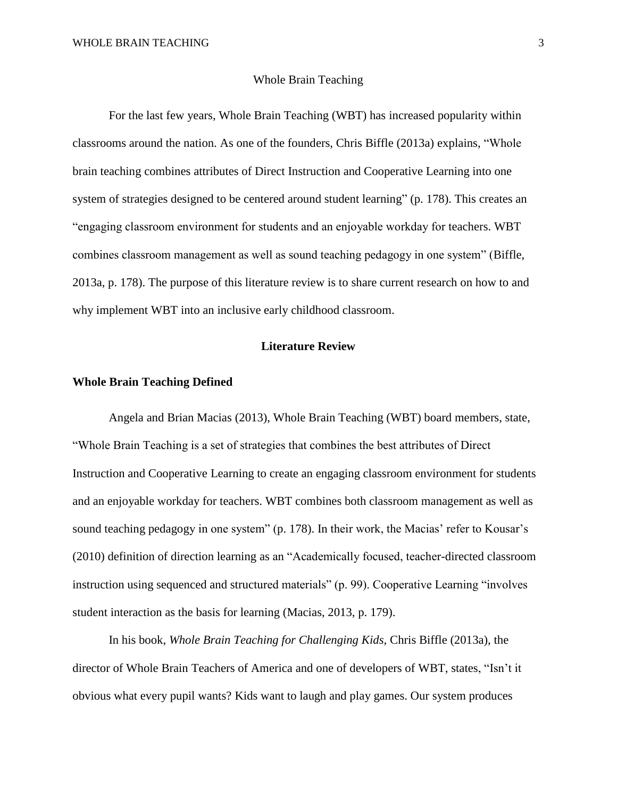#### Whole Brain Teaching

For the last few years, Whole Brain Teaching (WBT) has increased popularity within classrooms around the nation. As one of the founders, Chris Biffle (2013a) explains, "Whole brain teaching combines attributes of Direct Instruction and Cooperative Learning into one system of strategies designed to be centered around student learning" (p. 178). This creates an "engaging classroom environment for students and an enjoyable workday for teachers. WBT combines classroom management as well as sound teaching pedagogy in one system" (Biffle, 2013a, p. 178). The purpose of this literature review is to share current research on how to and why implement WBT into an inclusive early childhood classroom.

# **Literature Review**

## **Whole Brain Teaching Defined**

Angela and Brian Macias (2013), Whole Brain Teaching (WBT) board members, state, "Whole Brain Teaching is a set of strategies that combines the best attributes of Direct Instruction and Cooperative Learning to create an engaging classroom environment for students and an enjoyable workday for teachers. WBT combines both classroom management as well as sound teaching pedagogy in one system" (p. 178). In their work, the Macias' refer to Kousar's (2010) definition of direction learning as an "Academically focused, teacher-directed classroom instruction using sequenced and structured materials" (p. 99). Cooperative Learning "involves student interaction as the basis for learning (Macias, 2013, p. 179).

In his book, *Whole Brain Teaching for Challenging Kids*, Chris Biffle (2013a), the director of Whole Brain Teachers of America and one of developers of WBT, states, "Isn't it obvious what every pupil wants? Kids want to laugh and play games. Our system produces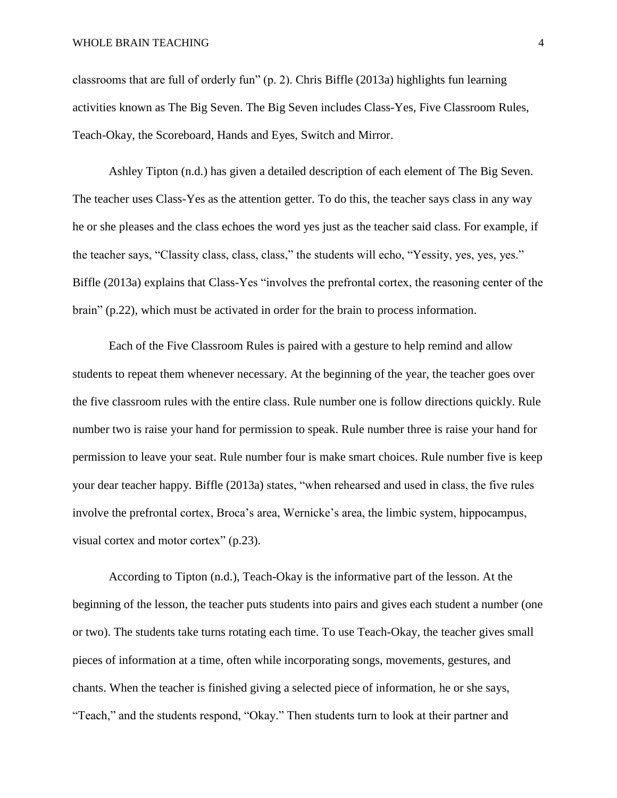classrooms that are full of orderly fun" (p. 2). Chris Biffle (2013a) highlights fun learning activities known as The Big Seven. The Big Seven includes Class-Yes, Five Classroom Rules, Teach-Okay, the Scoreboard, Hands and Eyes, Switch and Mirror.

Ashley Tipton (n.d.) has given a detailed description of each element of The Big Seven. The teacher uses Class-Yes as the attention getter. To do this, the teacher says class in any way he or she pleases and the class echoes the word yes just as the teacher said class. For example, if the teacher says, "Classity class, class, class," the students will echo, "Yessity, yes, yes, yes." Biffle (2013a) explains that Class-Yes "involves the prefrontal cortex, the reasoning center of the brain" (p.22), which must be activated in order for the brain to process information.

Each of the Five Classroom Rules is paired with a gesture to help remind and allow students to repeat them whenever necessary. At the beginning of the year, the teacher goes over the five classroom rules with the entire class. Rule number one is follow directions quickly. Rule number two is raise your hand for permission to speak. Rule number three is raise your hand for permission to leave your seat. Rule number four is make smart choices. Rule number five is keep your dear teacher happy. Biffle (2013a) states, "when rehearsed and used in class, the five rules involve the prefrontal cortex, Broca's area, Wernicke's area, the limbic system, hippocampus, visual cortex and motor cortex" (p.23).

According to Tipton (n.d.), Teach-Okay is the informative part of the lesson. At the beginning of the lesson, the teacher puts students into pairs and gives each student a number (one or two). The students take turns rotating each time. To use Teach-Okay, the teacher gives small pieces of information at a time, often while incorporating songs, movements, gestures, and chants. When the teacher is finished giving a selected piece of information, he or she says, "Teach," and the students respond, "Okay." Then students turn to look at their partner and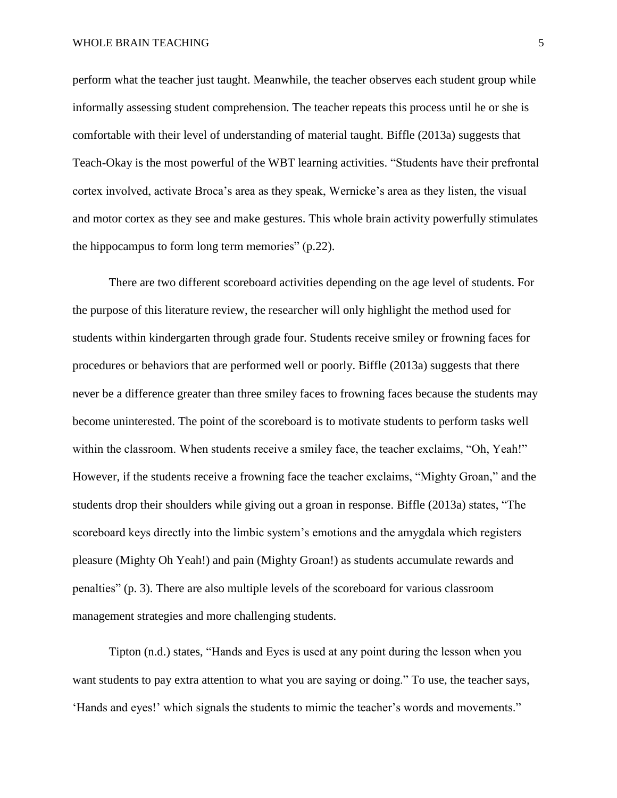perform what the teacher just taught. Meanwhile, the teacher observes each student group while informally assessing student comprehension. The teacher repeats this process until he or she is comfortable with their level of understanding of material taught. Biffle (2013a) suggests that Teach-Okay is the most powerful of the WBT learning activities. "Students have their prefrontal cortex involved, activate Broca's area as they speak, Wernicke's area as they listen, the visual and motor cortex as they see and make gestures. This whole brain activity powerfully stimulates the hippocampus to form long term memories" (p.22).

There are two different scoreboard activities depending on the age level of students. For the purpose of this literature review, the researcher will only highlight the method used for students within kindergarten through grade four. Students receive smiley or frowning faces for procedures or behaviors that are performed well or poorly. Biffle (2013a) suggests that there never be a difference greater than three smiley faces to frowning faces because the students may become uninterested. The point of the scoreboard is to motivate students to perform tasks well within the classroom. When students receive a smiley face, the teacher exclaims, "Oh, Yeah!" However, if the students receive a frowning face the teacher exclaims, "Mighty Groan," and the students drop their shoulders while giving out a groan in response. Biffle (2013a) states, "The scoreboard keys directly into the limbic system's emotions and the amygdala which registers pleasure (Mighty Oh Yeah!) and pain (Mighty Groan!) as students accumulate rewards and penalties" (p. 3). There are also multiple levels of the scoreboard for various classroom management strategies and more challenging students.

Tipton (n.d.) states, "Hands and Eyes is used at any point during the lesson when you want students to pay extra attention to what you are saying or doing." To use, the teacher says, 'Hands and eyes!' which signals the students to mimic the teacher's words and movements."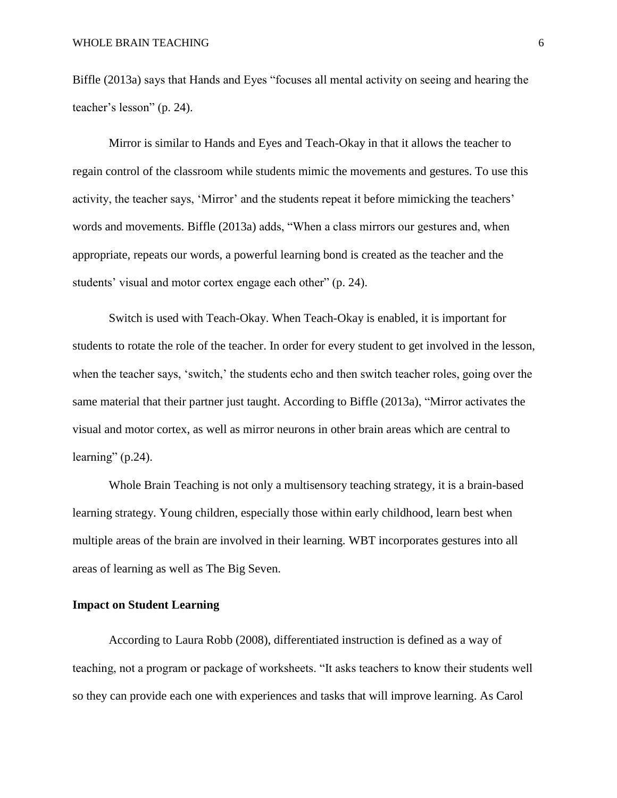Biffle (2013a) says that Hands and Eyes "focuses all mental activity on seeing and hearing the teacher's lesson" (p. 24).

Mirror is similar to Hands and Eyes and Teach-Okay in that it allows the teacher to regain control of the classroom while students mimic the movements and gestures. To use this activity, the teacher says, 'Mirror' and the students repeat it before mimicking the teachers' words and movements. Biffle (2013a) adds, "When a class mirrors our gestures and, when appropriate, repeats our words, a powerful learning bond is created as the teacher and the students' visual and motor cortex engage each other" (p. 24).

Switch is used with Teach-Okay. When Teach-Okay is enabled, it is important for students to rotate the role of the teacher. In order for every student to get involved in the lesson, when the teacher says, 'switch,' the students echo and then switch teacher roles, going over the same material that their partner just taught. According to Biffle (2013a), "Mirror activates the visual and motor cortex, as well as mirror neurons in other brain areas which are central to learning"  $(p.24)$ .

Whole Brain Teaching is not only a multisensory teaching strategy, it is a brain-based learning strategy. Young children, especially those within early childhood, learn best when multiple areas of the brain are involved in their learning. WBT incorporates gestures into all areas of learning as well as The Big Seven.

## **Impact on Student Learning**

According to Laura Robb (2008), differentiated instruction is defined as a way of teaching, not a program or package of worksheets. "It asks teachers to know their students well so they can provide each one with experiences and tasks that will improve learning. As Carol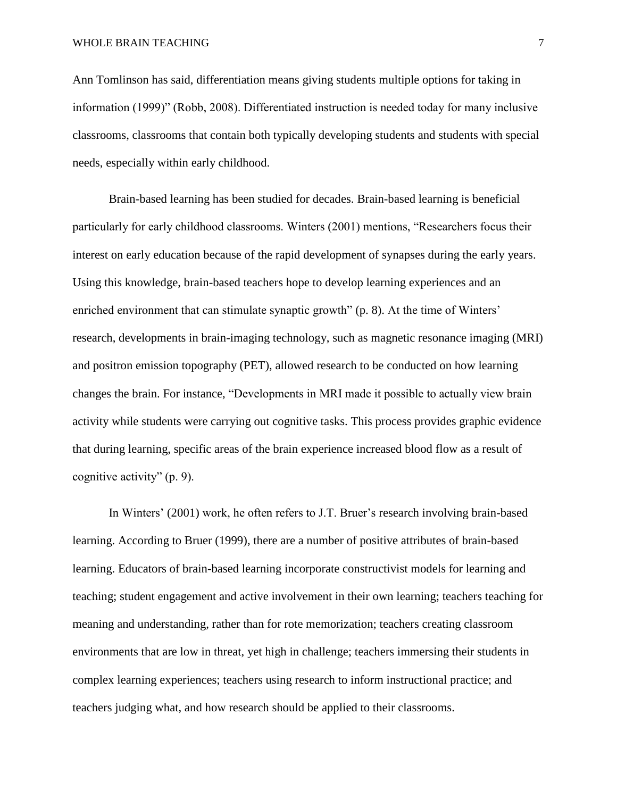Ann Tomlinson has said, differentiation means giving students multiple options for taking in information (1999)" (Robb, 2008). Differentiated instruction is needed today for many inclusive classrooms, classrooms that contain both typically developing students and students with special needs, especially within early childhood.

Brain-based learning has been studied for decades. Brain-based learning is beneficial particularly for early childhood classrooms. Winters (2001) mentions, "Researchers focus their interest on early education because of the rapid development of synapses during the early years. Using this knowledge, brain-based teachers hope to develop learning experiences and an enriched environment that can stimulate synaptic growth" (p. 8). At the time of Winters' research, developments in brain-imaging technology, such as magnetic resonance imaging (MRI) and positron emission topography (PET), allowed research to be conducted on how learning changes the brain. For instance, "Developments in MRI made it possible to actually view brain activity while students were carrying out cognitive tasks. This process provides graphic evidence that during learning, specific areas of the brain experience increased blood flow as a result of cognitive activity" (p. 9).

In Winters' (2001) work, he often refers to J.T. Bruer's research involving brain-based learning. According to Bruer (1999), there are a number of positive attributes of brain-based learning. Educators of brain-based learning incorporate constructivist models for learning and teaching; student engagement and active involvement in their own learning; teachers teaching for meaning and understanding, rather than for rote memorization; teachers creating classroom environments that are low in threat, yet high in challenge; teachers immersing their students in complex learning experiences; teachers using research to inform instructional practice; and teachers judging what, and how research should be applied to their classrooms.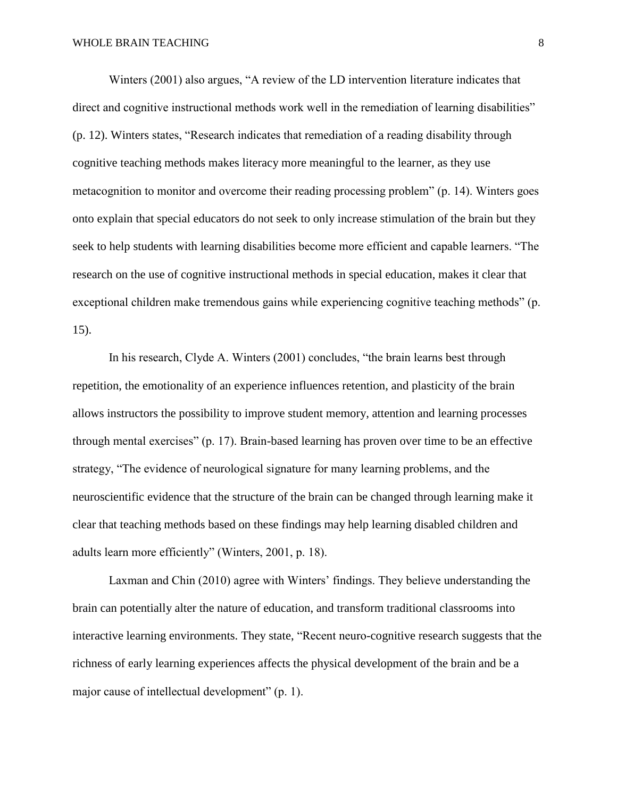Winters (2001) also argues, "A review of the LD intervention literature indicates that direct and cognitive instructional methods work well in the remediation of learning disabilities" (p. 12). Winters states, "Research indicates that remediation of a reading disability through cognitive teaching methods makes literacy more meaningful to the learner, as they use metacognition to monitor and overcome their reading processing problem" (p. 14). Winters goes onto explain that special educators do not seek to only increase stimulation of the brain but they seek to help students with learning disabilities become more efficient and capable learners. "The research on the use of cognitive instructional methods in special education, makes it clear that exceptional children make tremendous gains while experiencing cognitive teaching methods" (p. 15).

In his research, Clyde A. Winters (2001) concludes, "the brain learns best through repetition, the emotionality of an experience influences retention, and plasticity of the brain allows instructors the possibility to improve student memory, attention and learning processes through mental exercises" (p. 17). Brain-based learning has proven over time to be an effective strategy, "The evidence of neurological signature for many learning problems, and the neuroscientific evidence that the structure of the brain can be changed through learning make it clear that teaching methods based on these findings may help learning disabled children and adults learn more efficiently" (Winters, 2001, p. 18).

Laxman and Chin (2010) agree with Winters' findings. They believe understanding the brain can potentially alter the nature of education, and transform traditional classrooms into interactive learning environments. They state, "Recent neuro-cognitive research suggests that the richness of early learning experiences affects the physical development of the brain and be a major cause of intellectual development" (p. 1).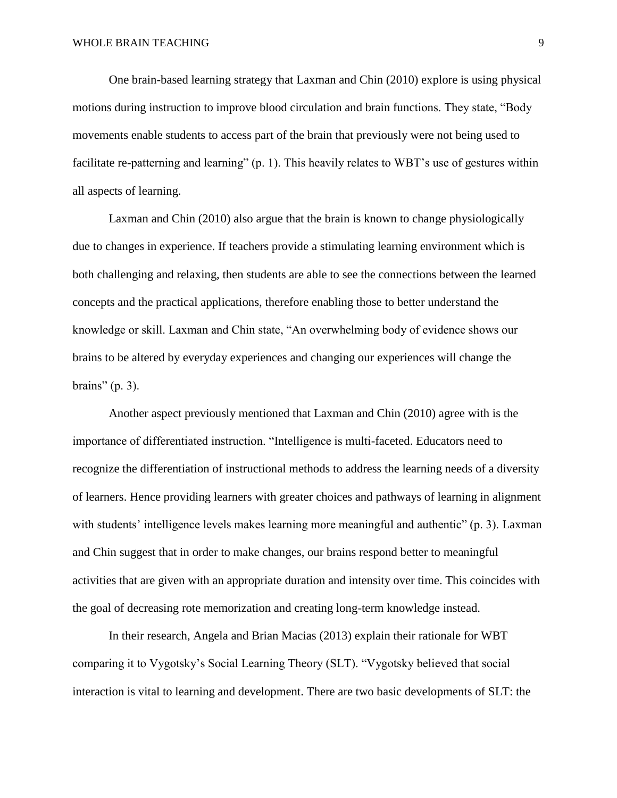One brain-based learning strategy that Laxman and Chin (2010) explore is using physical motions during instruction to improve blood circulation and brain functions. They state, "Body movements enable students to access part of the brain that previously were not being used to facilitate re-patterning and learning" (p. 1). This heavily relates to WBT's use of gestures within all aspects of learning.

Laxman and Chin (2010) also argue that the brain is known to change physiologically due to changes in experience. If teachers provide a stimulating learning environment which is both challenging and relaxing, then students are able to see the connections between the learned concepts and the practical applications, therefore enabling those to better understand the knowledge or skill. Laxman and Chin state, "An overwhelming body of evidence shows our brains to be altered by everyday experiences and changing our experiences will change the brains"  $(p. 3)$ .

Another aspect previously mentioned that Laxman and Chin (2010) agree with is the importance of differentiated instruction. "Intelligence is multi-faceted. Educators need to recognize the differentiation of instructional methods to address the learning needs of a diversity of learners. Hence providing learners with greater choices and pathways of learning in alignment with students' intelligence levels makes learning more meaningful and authentic" (p. 3). Laxman and Chin suggest that in order to make changes, our brains respond better to meaningful activities that are given with an appropriate duration and intensity over time. This coincides with the goal of decreasing rote memorization and creating long-term knowledge instead.

In their research, Angela and Brian Macias (2013) explain their rationale for WBT comparing it to Vygotsky's Social Learning Theory (SLT). "Vygotsky believed that social interaction is vital to learning and development. There are two basic developments of SLT: the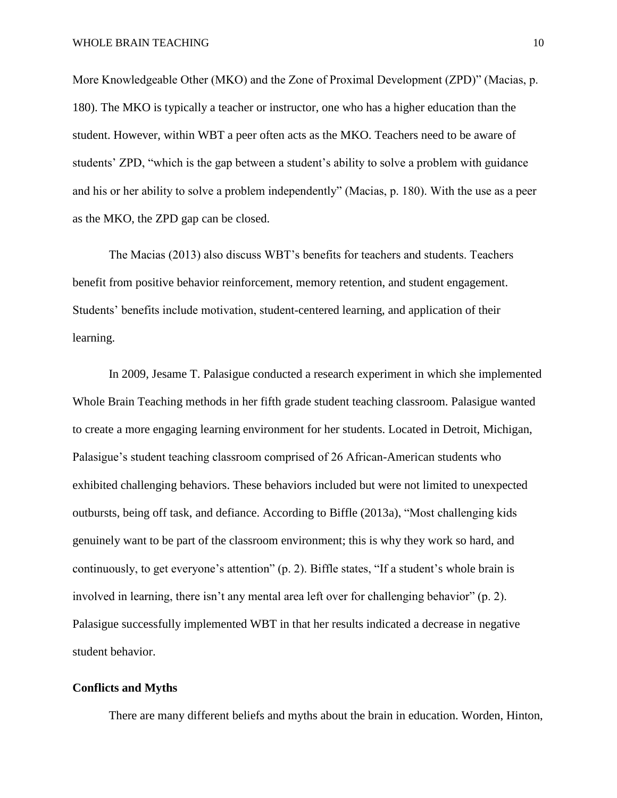More Knowledgeable Other (MKO) and the Zone of Proximal Development (ZPD)" (Macias, p. 180). The MKO is typically a teacher or instructor, one who has a higher education than the student. However, within WBT a peer often acts as the MKO. Teachers need to be aware of students' ZPD, "which is the gap between a student's ability to solve a problem with guidance and his or her ability to solve a problem independently" (Macias, p. 180). With the use as a peer as the MKO, the ZPD gap can be closed.

The Macias (2013) also discuss WBT's benefits for teachers and students. Teachers benefit from positive behavior reinforcement, memory retention, and student engagement. Students' benefits include motivation, student-centered learning, and application of their learning.

In 2009, Jesame T. Palasigue conducted a research experiment in which she implemented Whole Brain Teaching methods in her fifth grade student teaching classroom. Palasigue wanted to create a more engaging learning environment for her students. Located in Detroit, Michigan, Palasigue's student teaching classroom comprised of 26 African-American students who exhibited challenging behaviors. These behaviors included but were not limited to unexpected outbursts, being off task, and defiance. According to Biffle (2013a), "Most challenging kids genuinely want to be part of the classroom environment; this is why they work so hard, and continuously, to get everyone's attention" (p. 2). Biffle states, "If a student's whole brain is involved in learning, there isn't any mental area left over for challenging behavior" (p. 2). Palasigue successfully implemented WBT in that her results indicated a decrease in negative student behavior.

## **Conflicts and Myths**

There are many different beliefs and myths about the brain in education. Worden, Hinton,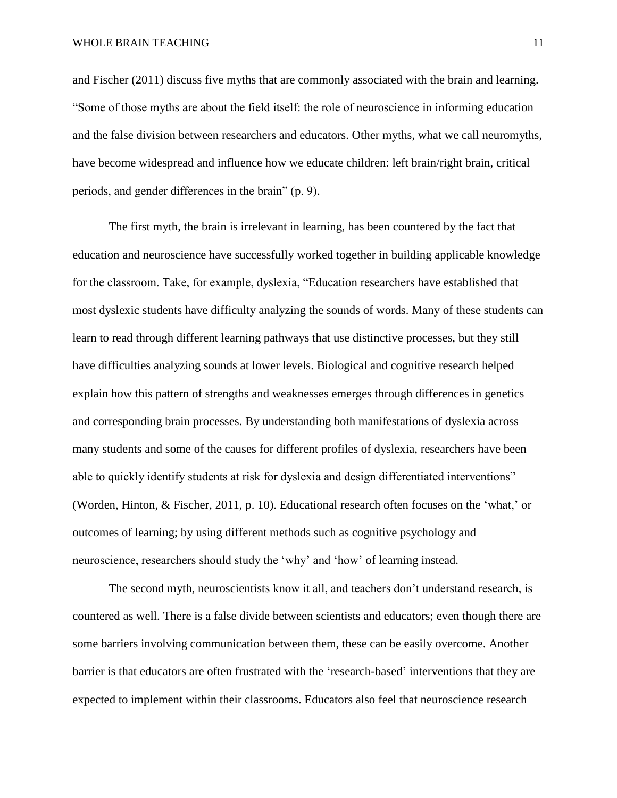and Fischer (2011) discuss five myths that are commonly associated with the brain and learning. "Some of those myths are about the field itself: the role of neuroscience in informing education and the false division between researchers and educators. Other myths, what we call neuromyths, have become widespread and influence how we educate children: left brain/right brain, critical periods, and gender differences in the brain" (p. 9).

The first myth, the brain is irrelevant in learning, has been countered by the fact that education and neuroscience have successfully worked together in building applicable knowledge for the classroom. Take, for example, dyslexia, "Education researchers have established that most dyslexic students have difficulty analyzing the sounds of words. Many of these students can learn to read through different learning pathways that use distinctive processes, but they still have difficulties analyzing sounds at lower levels. Biological and cognitive research helped explain how this pattern of strengths and weaknesses emerges through differences in genetics and corresponding brain processes. By understanding both manifestations of dyslexia across many students and some of the causes for different profiles of dyslexia, researchers have been able to quickly identify students at risk for dyslexia and design differentiated interventions" (Worden, Hinton, & Fischer, 2011, p. 10). Educational research often focuses on the 'what,' or outcomes of learning; by using different methods such as cognitive psychology and neuroscience, researchers should study the 'why' and 'how' of learning instead.

The second myth, neuroscientists know it all, and teachers don't understand research, is countered as well. There is a false divide between scientists and educators; even though there are some barriers involving communication between them, these can be easily overcome. Another barrier is that educators are often frustrated with the 'research-based' interventions that they are expected to implement within their classrooms. Educators also feel that neuroscience research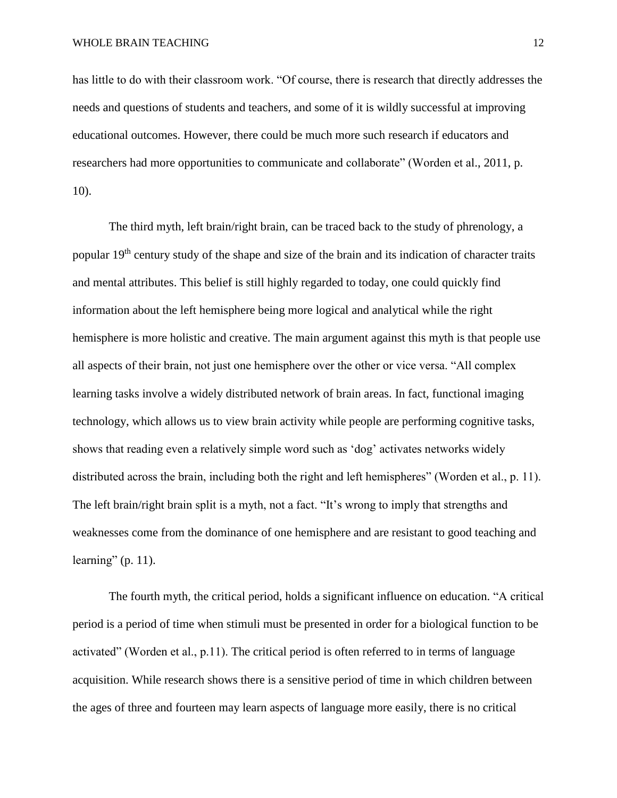has little to do with their classroom work. "Of course, there is research that directly addresses the needs and questions of students and teachers, and some of it is wildly successful at improving educational outcomes. However, there could be much more such research if educators and researchers had more opportunities to communicate and collaborate" (Worden et al., 2011, p. 10).

The third myth, left brain/right brain, can be traced back to the study of phrenology, a popular 19th century study of the shape and size of the brain and its indication of character traits and mental attributes. This belief is still highly regarded to today, one could quickly find information about the left hemisphere being more logical and analytical while the right hemisphere is more holistic and creative. The main argument against this myth is that people use all aspects of their brain, not just one hemisphere over the other or vice versa. "All complex learning tasks involve a widely distributed network of brain areas. In fact, functional imaging technology, which allows us to view brain activity while people are performing cognitive tasks, shows that reading even a relatively simple word such as 'dog' activates networks widely distributed across the brain, including both the right and left hemispheres" (Worden et al., p. 11). The left brain/right brain split is a myth, not a fact. "It's wrong to imply that strengths and weaknesses come from the dominance of one hemisphere and are resistant to good teaching and learning"  $(p. 11)$ .

The fourth myth, the critical period, holds a significant influence on education. "A critical period is a period of time when stimuli must be presented in order for a biological function to be activated" (Worden et al., p.11). The critical period is often referred to in terms of language acquisition. While research shows there is a sensitive period of time in which children between the ages of three and fourteen may learn aspects of language more easily, there is no critical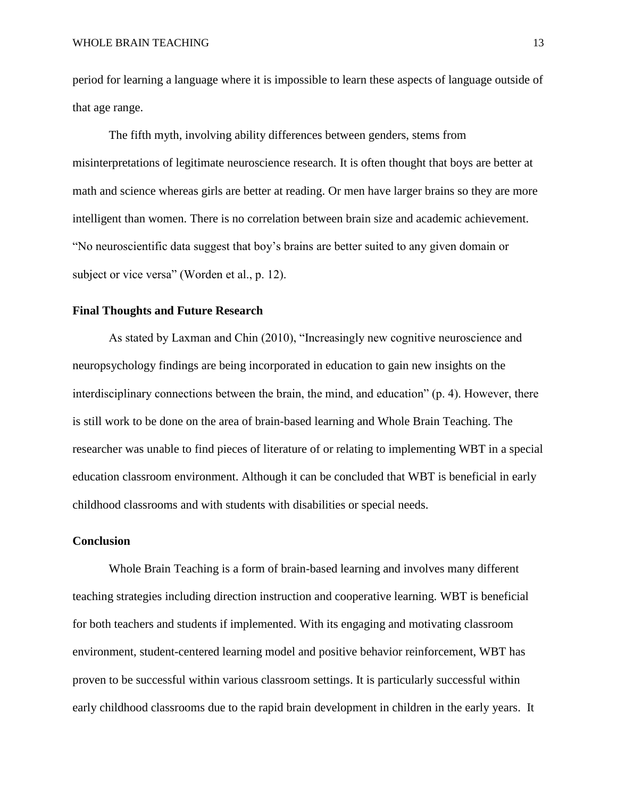period for learning a language where it is impossible to learn these aspects of language outside of that age range.

The fifth myth, involving ability differences between genders, stems from misinterpretations of legitimate neuroscience research. It is often thought that boys are better at math and science whereas girls are better at reading. Or men have larger brains so they are more intelligent than women. There is no correlation between brain size and academic achievement. "No neuroscientific data suggest that boy's brains are better suited to any given domain or subject or vice versa" (Worden et al., p. 12).

## **Final Thoughts and Future Research**

As stated by Laxman and Chin (2010), "Increasingly new cognitive neuroscience and neuropsychology findings are being incorporated in education to gain new insights on the interdisciplinary connections between the brain, the mind, and education" (p. 4). However, there is still work to be done on the area of brain-based learning and Whole Brain Teaching. The researcher was unable to find pieces of literature of or relating to implementing WBT in a special education classroom environment. Although it can be concluded that WBT is beneficial in early childhood classrooms and with students with disabilities or special needs.

#### **Conclusion**

Whole Brain Teaching is a form of brain-based learning and involves many different teaching strategies including direction instruction and cooperative learning. WBT is beneficial for both teachers and students if implemented. With its engaging and motivating classroom environment, student-centered learning model and positive behavior reinforcement, WBT has proven to be successful within various classroom settings. It is particularly successful within early childhood classrooms due to the rapid brain development in children in the early years. It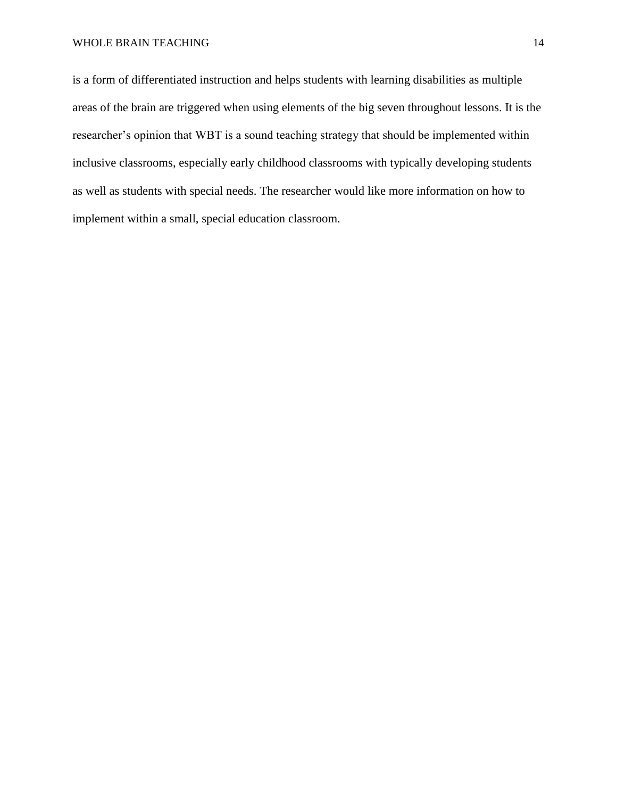is a form of differentiated instruction and helps students with learning disabilities as multiple areas of the brain are triggered when using elements of the big seven throughout lessons. It is the researcher's opinion that WBT is a sound teaching strategy that should be implemented within inclusive classrooms, especially early childhood classrooms with typically developing students as well as students with special needs. The researcher would like more information on how to implement within a small, special education classroom.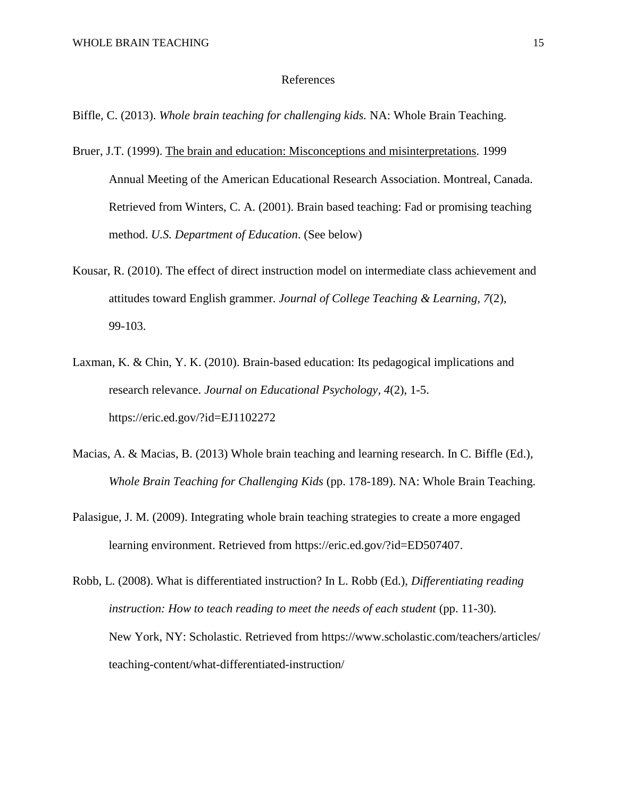#### References

Biffle, C. (2013). *Whole brain teaching for challenging kids.* NA: Whole Brain Teaching.

- Bruer, J.T. (1999). The brain and education: Misconceptions and misinterpretations. 1999 Annual Meeting of the American Educational Research Association. Montreal, Canada. Retrieved from Winters, C. A. (2001). Brain based teaching: Fad or promising teaching method. *U.S. Department of Education*. (See below)
- Kousar, R. (2010). The effect of direct instruction model on intermediate class achievement and attitudes toward English grammer. *Journal of College Teaching & Learning, 7*(2), 99-103.
- Laxman, K. & Chin, Y. K. (2010). Brain-based education: Its pedagogical implications and research relevance. *Journal on Educational Psychology, 4*(2), 1-5. https://eric.ed.gov/?id=EJ1102272
- Macias, A. & Macias, B. (2013) Whole brain teaching and learning research. In C. Biffle (Ed.), *Whole Brain Teaching for Challenging Kids* (pp. 178-189). NA: Whole Brain Teaching.
- Palasigue, J. M. (2009). Integrating whole brain teaching strategies to create a more engaged learning environment. Retrieved from https://eric.ed.gov/?id=ED507407.
- Robb, L. (2008). What is differentiated instruction? In L. Robb (Ed.), *Differentiating reading instruction: How to teach reading to meet the needs of each student* (pp. 11-30). New York, NY: Scholastic. Retrieved from https://www.scholastic.com/teachers/articles/ teaching-content/what-differentiated-instruction/